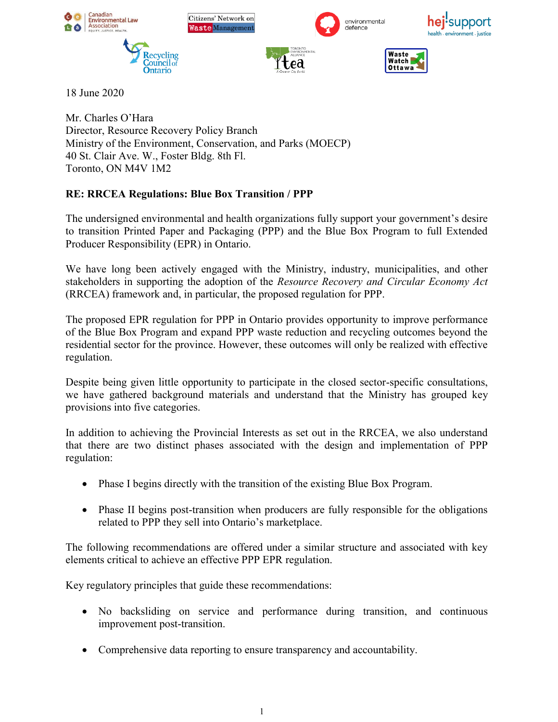

18 June 2020

Mr. Charles O'Hara Director, Resource Recovery Policy Branch Ministry of the Environment, Conservation, and Parks (MOECP) 40 St. Clair Ave. W., Foster Bldg. 8th Fl. Toronto, ON M4V 1M2

# **RE: RRCEA Regulations: Blue Box Transition / PPP**

The undersigned environmental and health organizations fully support your government's desire to transition Printed Paper and Packaging (PPP) and the Blue Box Program to full Extended Producer Responsibility (EPR) in Ontario.

We have long been actively engaged with the Ministry, industry, municipalities, and other stakeholders in supporting the adoption of the *Resource Recovery and Circular Economy Act* (RRCEA) framework and, in particular, the proposed regulation for PPP.

The proposed EPR regulation for PPP in Ontario provides opportunity to improve performance of the Blue Box Program and expand PPP waste reduction and recycling outcomes beyond the residential sector for the province. However, these outcomes will only be realized with effective regulation.

Despite being given little opportunity to participate in the closed sector-specific consultations, we have gathered background materials and understand that the Ministry has grouped key provisions into five categories.

In addition to achieving the Provincial Interests as set out in the RRCEA, we also understand that there are two distinct phases associated with the design and implementation of PPP regulation:

- Phase I begins directly with the transition of the existing Blue Box Program.
- Phase II begins post-transition when producers are fully responsible for the obligations related to PPP they sell into Ontario's marketplace.

The following recommendations are offered under a similar structure and associated with key elements critical to achieve an effective PPP EPR regulation.

Key regulatory principles that guide these recommendations:

- No backsliding on service and performance during transition, and continuous improvement post-transition.
- Comprehensive data reporting to ensure transparency and accountability.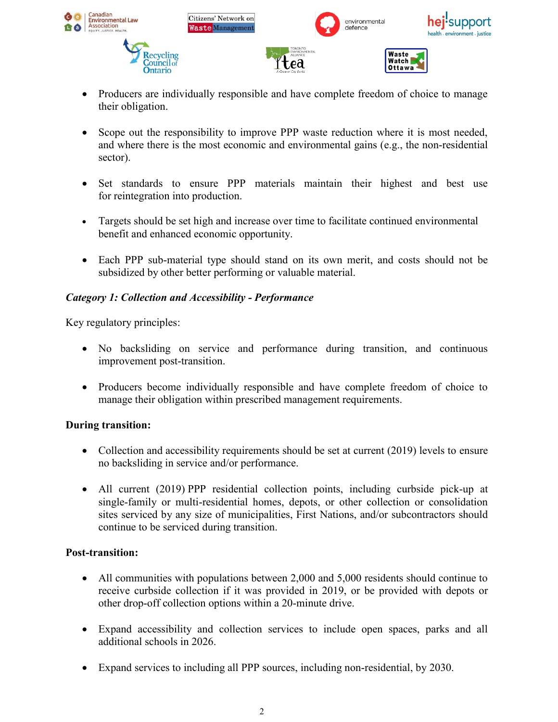

- Producers are individually responsible and have complete freedom of choice to manage their obligation.
- Scope out the responsibility to improve PPP waste reduction where it is most needed, and where there is the most economic and environmental gains (e.g., the non-residential sector).
- Set standards to ensure PPP materials maintain their highest and best use for reintegration into production.
- Targets should be set high and increase over time to facilitate continued environmental benefit and enhanced economic opportunity.
- Each PPP sub-material type should stand on its own merit, and costs should not be subsidized by other better performing or valuable material.

# *Category 1: Collection and Accessibility - Performance*

Key regulatory principles:

- No backsliding on service and performance during transition, and continuous improvement post-transition.
- Producers become individually responsible and have complete freedom of choice to manage their obligation within prescribed management requirements.

### **During transition:**

- Collection and accessibility requirements should be set at current (2019) levels to ensure no backsliding in service and/or performance.
- All current (2019) PPP residential collection points, including curbside pick-up at single-family or multi-residential homes, depots, or other collection or consolidation sites serviced by any size of municipalities, First Nations, and/or subcontractors should continue to be serviced during transition.

### **Post-transition:**

- All communities with populations between 2,000 and 5,000 residents should continue to receive curbside collection if it was provided in 2019, or be provided with depots or other drop-off collection options within a 20-minute drive.
- Expand accessibility and collection services to include open spaces, parks and all additional schools in 2026.
- Expand services to including all PPP sources, including non-residential, by 2030.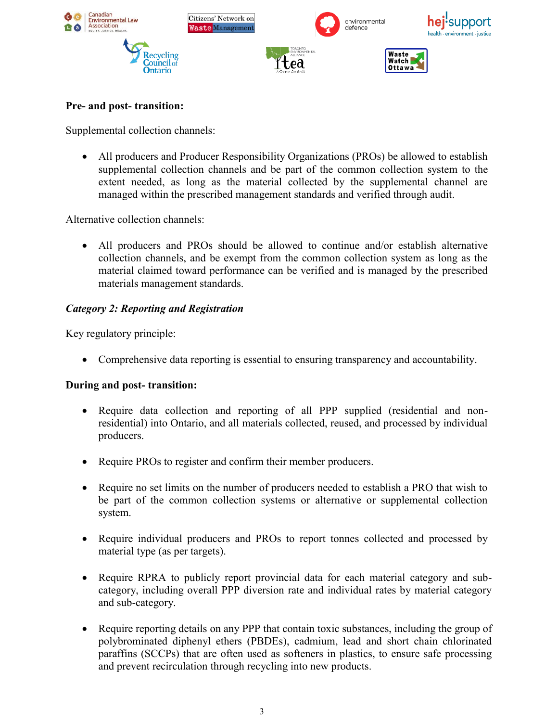

## **Pre- and post- transition:**

Supplemental collection channels:

 All producers and Producer Responsibility Organizations (PROs) be allowed to establish supplemental collection channels and be part of the common collection system to the extent needed, as long as the material collected by the supplemental channel are managed within the prescribed management standards and verified through audit.

Alternative collection channels:

 All producers and PROs should be allowed to continue and/or establish alternative collection channels, and be exempt from the common collection system as long as the material claimed toward performance can be verified and is managed by the prescribed materials management standards.

# *Category 2: Reporting and Registration*

Key regulatory principle:

Comprehensive data reporting is essential to ensuring transparency and accountability.

### **During and post- transition:**

- Require data collection and reporting of all PPP supplied (residential and nonresidential) into Ontario, and all materials collected, reused, and processed by individual producers.
- Require PROs to register and confirm their member producers.
- Require no set limits on the number of producers needed to establish a PRO that wish to be part of the common collection systems or alternative or supplemental collection system.
- Require individual producers and PROs to report tonnes collected and processed by material type (as per targets).
- Require RPRA to publicly report provincial data for each material category and subcategory, including overall PPP diversion rate and individual rates by material category and sub-category.
- Require reporting details on any PPP that contain toxic substances, including the group of polybrominated diphenyl ethers (PBDEs), cadmium, lead and short chain chlorinated paraffins (SCCPs) that are often used as softeners in plastics, to ensure safe processing and prevent recirculation through recycling into new products.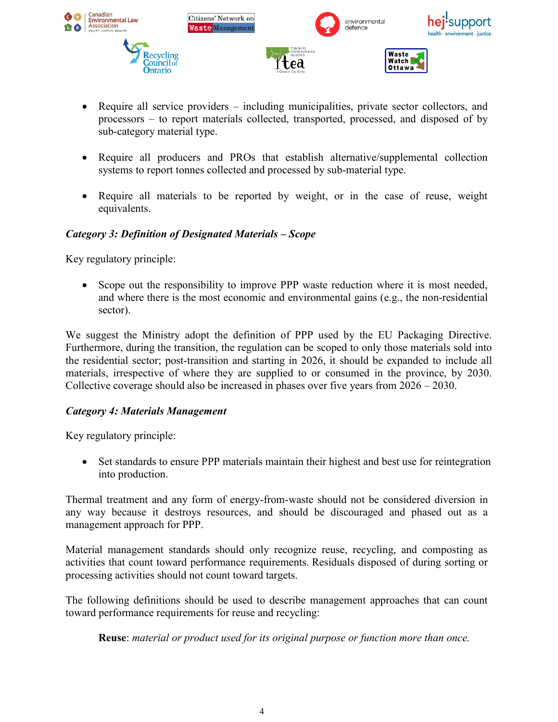

- Require all service providers including municipalities, private sector collectors, and processors – to report materials collected, transported, processed, and disposed of by sub-category material type.
- Require all producers and PROs that establish alternative/supplemental collection systems to report tonnes collected and processed by sub-material type.
- Require all materials to be reported by weight, or in the case of reuse, weight equivalents.

# *Category 3: Definition of Designated Materials – Scope*

Key regulatory principle:

• Scope out the responsibility to improve PPP waste reduction where it is most needed, and where there is the most economic and environmental gains (e.g., the non-residential sector).

We suggest the Ministry adopt the definition of PPP used by the EU Packaging Directive. Furthermore, during the transition, the regulation can be scoped to only those materials sold into the residential sector; post-transition and starting in 2026, it should be expanded to include all materials, irrespective of where they are supplied to or consumed in the province, by 2030. Collective coverage should also be increased in phases over five years from 2026 – 2030.

### *Category 4: Materials Management*

Key regulatory principle:

• Set standards to ensure PPP materials maintain their highest and best use for reintegration into production.

Thermal treatment and any form of energy-from-waste should not be considered diversion in any way because it destroys resources, and should be discouraged and phased out as a management approach for PPP.

Material management standards should only recognize reuse, recycling, and composting as activities that count toward performance requirements. Residuals disposed of during sorting or processing activities should not count toward targets.

The following definitions should be used to describe management approaches that can count toward performance requirements for reuse and recycling:

**Reuse**: *material or product used for its original purpose or function more than once.*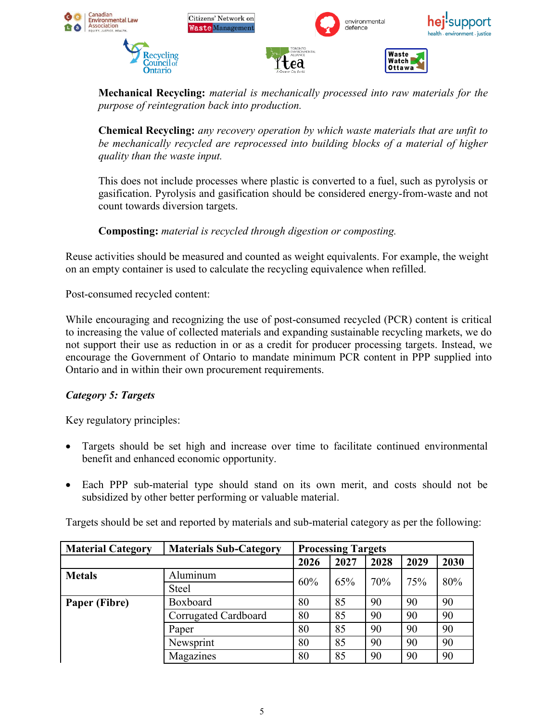

**Mechanical Recycling:** *material is mechanically processed into raw materials for the purpose of reintegration back into production.*

**Chemical Recycling:** *any recovery operation by which waste materials that are unfit to be mechanically recycled are reprocessed into building blocks of a material of higher quality than the waste input.* 

This does not include processes where plastic is converted to a fuel, such as pyrolysis or gasification. Pyrolysis and gasification should be considered energy-from-waste and not count towards diversion targets.

# **Composting:** *material is recycled through digestion or composting.*

Reuse activities should be measured and counted as weight equivalents. For example, the weight on an empty container is used to calculate the recycling equivalence when refilled.

Post-consumed recycled content:

While encouraging and recognizing the use of post-consumed recycled (PCR) content is critical to increasing the value of collected materials and expanding sustainable recycling markets, we do not support their use as reduction in or as a credit for producer processing targets. Instead, we encourage the Government of Ontario to mandate minimum PCR content in PPP supplied into Ontario and in within their own procurement requirements.

### *Category 5: Targets*

Key regulatory principles:

- Targets should be set high and increase over time to facilitate continued environmental benefit and enhanced economic opportunity.
- Each PPP sub-material type should stand on its own merit, and costs should not be subsidized by other better performing or valuable material.

Targets should be set and reported by materials and sub-material category as per the following:

| <b>Material Category</b> | <b>Materials Sub-Category</b> | <b>Processing Targets</b> |      |      |      |      |
|--------------------------|-------------------------------|---------------------------|------|------|------|------|
|                          |                               | 2026                      | 2027 | 2028 | 2029 | 2030 |
| <b>Metals</b>            | Aluminum                      | 60%                       | 65%  | 70%  | 75%  | 80%  |
|                          | <b>Steel</b>                  |                           |      |      |      |      |
| Paper (Fibre)            | Boxboard                      | 80                        | 85   | 90   | 90   | 90   |
|                          | Corrugated Cardboard          | 80                        | 85   | 90   | 90   | 90   |
|                          | Paper                         | 80                        | 85   | 90   | 90   | 90   |
|                          | Newsprint                     | 80                        | 85   | 90   | 90   | 90   |
|                          | Magazines                     | 80                        | 85   | 90   | 90   | 90   |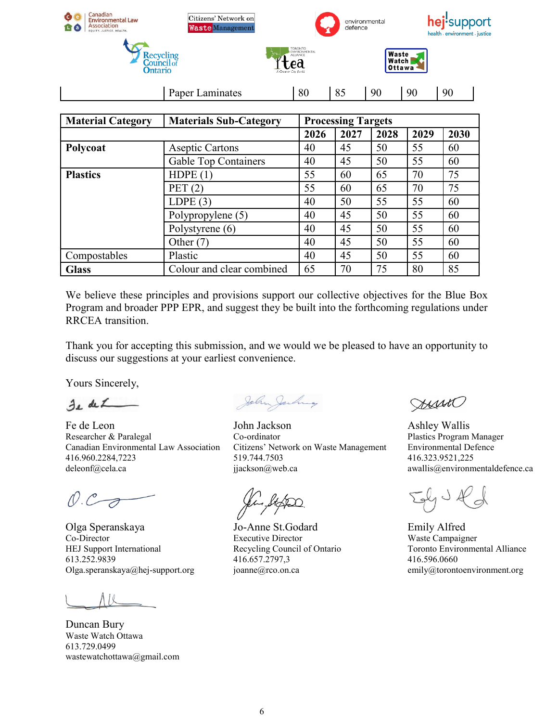| Canadian<br><b>Environmental Law</b><br>Association<br>'a<br>EQUITY, JUSTICE, HEALTH. | Citizens' Network on<br><b>Waste Management</b> |                                                                                          | environmental<br>defence  |      |                          | hej'support<br>health · environment · justice |  |  |  |
|---------------------------------------------------------------------------------------|-------------------------------------------------|------------------------------------------------------------------------------------------|---------------------------|------|--------------------------|-----------------------------------------------|--|--|--|
| <b>Recycling</b><br><b>Council</b> of<br><b>Ontario</b>                               |                                                 | <b>TORONTO</b><br><b>ENVIRONMENTAL</b><br><b>ALLIANCE</b><br>ea<br>A Greener City for Ar |                           |      | Waste<br>Watch<br>Ottawa |                                               |  |  |  |
|                                                                                       | Paper Laminates                                 | 80                                                                                       | 85                        | 90   | 90                       | 90                                            |  |  |  |
| <b>Material Category</b>                                                              | <b>Materials Sub-Category</b>                   |                                                                                          | <b>Processing Targets</b> |      |                          |                                               |  |  |  |
|                                                                                       |                                                 | 2026                                                                                     | 2027                      | 2028 | 2029                     | 2030                                          |  |  |  |
| Polycoat                                                                              | <b>Aseptic Cartons</b>                          | 40                                                                                       | 45                        | 50   | 55                       | 60                                            |  |  |  |
|                                                                                       | <b>Gable Top Containers</b>                     | 40                                                                                       | 45                        | 50   | 55                       | 60                                            |  |  |  |
| <b>Plastics</b>                                                                       | HDPE(1)                                         | 55                                                                                       | 60                        | 65   | 70                       | 75                                            |  |  |  |
|                                                                                       | PET $(2)$                                       | 55                                                                                       | 60                        | 65   | 70                       | 75                                            |  |  |  |
|                                                                                       | LDPE $(3)$                                      | 40                                                                                       | 50                        | 55   | 55                       | 60                                            |  |  |  |
|                                                                                       | Polypropylene (5)                               | 40                                                                                       | 45                        | 50   | 55                       | 60                                            |  |  |  |
|                                                                                       | Polystyrene (6)                                 | 40                                                                                       | 45                        | 50   | 55                       | 60                                            |  |  |  |
|                                                                                       | Other $(7)$                                     | 40                                                                                       | 45                        | 50   | 55                       | 60                                            |  |  |  |
| Compostables                                                                          | Plastic                                         | 40                                                                                       | 45                        | 50   | 55                       | 60                                            |  |  |  |

We believe these principles and provisions support our collective objectives for the Blue Box Program and broader PPP EPR, and suggest they be built into the forthcoming regulations under RRCEA transition.

Glass Colour and clear combined 65 70 75 80 85

Thank you for accepting this submission, and we would we be pleased to have an opportunity to discuss our suggestions at your earliest convenience.

Yours Sincerely,

 $z_{\rm L}$  de  $\angle$ 

Fe de Leon Researcher & Paralegal Canadian Environmental Law Association 416.960.2284,7223 deleonf@cela.ca

 $O.C.$ 

Olga Speranskaya Co-Director HEJ Support International 613.252.9839 Olga.speranskaya@hej-support.org

Duncan Bury Waste Watch Ottawa 613.729.0499 wastewatchottawa@gmail.com

John Jachnes

John Jackson Co-ordinator Citizens' Network on Waste Management 519.744.7503 jjackson@web.ca

Jo-Anne St.Godard Executive Director Recycling Council of Ontario 416.657.2797,3 joanne@rco.on.ca

ANNO

Ashley Wallis Plastics Program Manager Environmental Defence 416.323.9521,225 awallis@environmentaldefence.ca

JYJ KJ

Emily Alfred Waste Campaigner Toronto Environmental Alliance 416.596.0660 emily@torontoenvironment.org